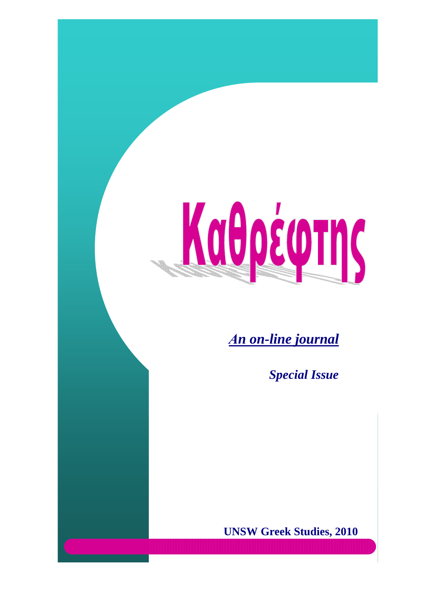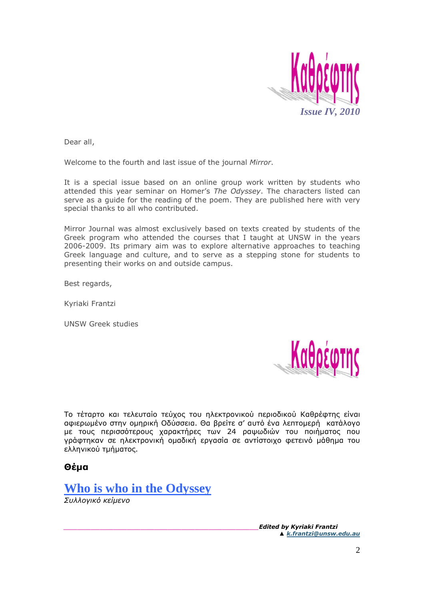

Dear all,

Welcome to the fourth and last issue of the journal *Mirror*.

It is a special issue based on an online group work written by students who attended this year seminar on Homer's *The Odyssey*. The characters listed can serve as a guide for the reading of the poem. They are published here with very special thanks to all who contributed.

Mirror Journal was almost exclusively based on texts created by students of the Greek program who attended the courses that I taught at UNSW in the years 2006-2009. Its primary aim was to explore alternative approaches to teaching Greek language and culture, and to serve as a stepping stone for students to presenting their works on and outside campus.

Best regards,

Kyriaki Frantzi

UNSW Greek studies



Tο τέταρτο και τελευταίο τεύχος του ηλεκτρονικού περιοδικού Καθρέφτης είναι αφιερωµένο στην οµηρική Οδύσσεια. Θα βρείτε σ' αυτό ένα λεπτοµερή κατάλογο µε τους περισσότερους χαρακτήρες των 24 ραψωδιών του ποιήµατος που γράφτηκαν σε ηλεκτρονική οµαδική εργασία σε αντίστοιχο φετεινό µάθηµα του ελληνικού τµήµατος.

#### **Θέµα**



*Συλλογικό κείµενο* 

*\_\_\_\_\_\_\_\_\_\_\_\_\_\_\_\_\_\_\_\_\_\_\_\_\_\_\_\_\_\_\_\_\_\_\_\_\_\_\_\_\_\_\_Edited by Kyriaki Frantzi ▲ k.frantzi@unsw.edu.au*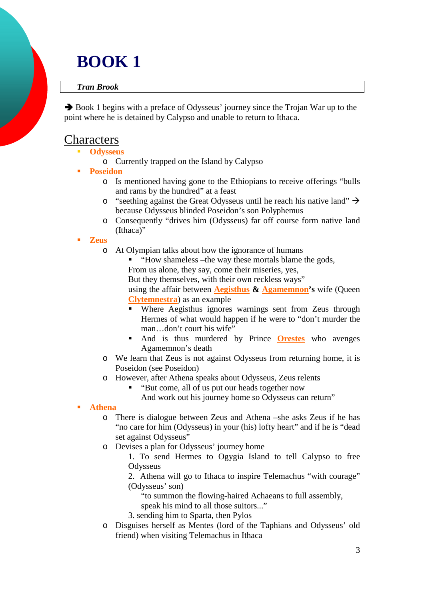# **BOOK 1**

#### *Tran Brook*

 Book 1 begins with a preface of Odysseus' journey since the Trojan War up to the point where he is detained by Calypso and unable to return to Ithaca.

### **Characters**

- - **Odysseus**
	- o Currently trapped on the Island by Calypso
- - **Poseidon** 
	- o Is mentioned having gone to the Ethiopians to receive offerings "bulls and rams by the hundred" at a feast
	- $\circ$  "seething against the Great Odysseus until he reach his native land"  $\rightarrow$ because Odysseus blinded Poseidon's son Polyphemus
	- o Consequently "drives him (Odysseus) far off course form native land (Ithaca)"
- - **Zeus** 
	- o At Olympian talks about how the ignorance of humans
		- -"How shameless –the way these mortals blame the gods,

From us alone, they say, come their miseries, yes,

But they themselves, with their own reckless ways"

using the affair between **Aegisthus & Agamemnon's** wife (Queen **Clytemnestra**) as an example

- - Where Aegisthus ignores warnings sent from Zeus through Hermes of what would happen if he were to "don't murder the man…don't court his wife"
- - And is thus murdered by Prince **Orestes** who avenges Agamemnon's death
- o We learn that Zeus is not against Odysseus from returning home, it is Poseidon (see Poseidon)
- o However, after Athena speaks about Odysseus, Zeus relents -
	- "But come, all of us put our heads together now

And work out his journey home so Odysseus can return"

-**Athena** 

- o There is dialogue between Zeus and Athena –she asks Zeus if he has "no care for him (Odysseus) in your (his) lofty heart" and if he is "dead set against Odysseus"
- o Devises a plan for Odysseus' journey home

1. To send Hermes to Ogygia Island to tell Calypso to free **Odysseus** 

2. Athena will go to Ithaca to inspire Telemachus "with courage" (Odysseus' son)

"to summon the flowing-haired Achaeans to full assembly,

speak his mind to all those suitors..."

- 3. sending him to Sparta, then Pylos
- o Disguises herself as Mentes (lord of the Taphians and Odysseus' old friend) when visiting Telemachus in Ithaca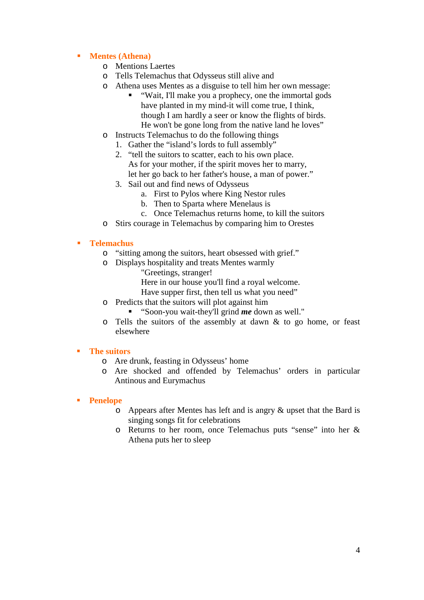#### -**Mentes (Athena)**

- o Mentions Laertes
- o Tells Telemachus that Odysseus still alive and
- o Athena uses Mentes as a disguise to tell him her own message:
	- - "Wait, I'll make you a prophecy, one the immortal gods have planted in my mind-it will come true, I think, though I am hardly a seer or know the flights of birds. He won't be gone long from the native land he loves"
- o Instructs Telemachus to do the following things
	- 1. Gather the "island's lords to full assembly"
	- 2. "tell the suitors to scatter, each to his own place. As for your mother, if the spirit moves her to marry, let her go back to her father's house, a man of power."
	- 3. Sail out and find news of Odysseus
		- a. First to Pylos where King Nestor rules
		- b. Then to Sparta where Menelaus is
		- c. Once Telemachus returns home, to kill the suitors
- o Stirs courage in Telemachus by comparing him to Orestes

#### -**Telemachus**

- o "sitting among the suitors, heart obsessed with grief."
- o Displays hospitality and treats Mentes warmly
	- "Greetings, stranger!
		- Here in our house you'll find a royal welcome.
		- Have supper first, then tell us what you need"
- o Predicts that the suitors will plot against him
	- "Soon-you wait-they'll grind *me* down as well."
- $\circ$  Tells the suitors of the assembly at dawn & to go home, or feast elsewhere

#### - **The suitors**

- o Are drunk, feasting in Odysseus' home
- o Are shocked and offended by Telemachus' orders in particular Antinous and Eurymachus

#### -**Penelope**

- o Appears after Mentes has left and is angry & upset that the Bard is singing songs fit for celebrations
- o Returns to her room, once Telemachus puts "sense" into her & Athena puts her to sleep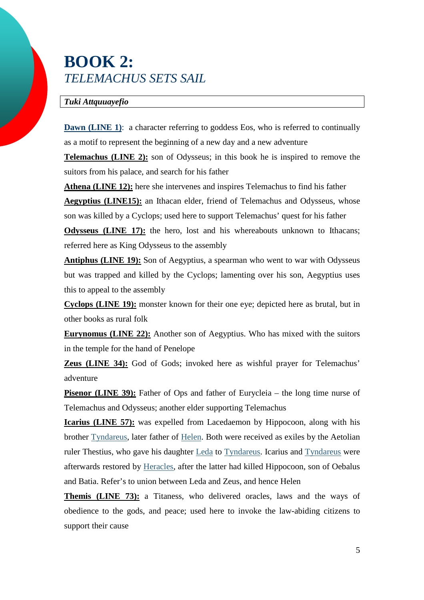## **BOOK 2:**  *TELEMACHUS SETS SAIL*

#### *Tuki Attquuayefio*

**Dawn (LINE 1):** a character referring to goddess Eos, who is referred to continually as a motif to represent the beginning of a new day and a new adventure

**Telemachus (LINE 2):** son of Odysseus; in this book he is inspired to remove the suitors from his palace, and search for his father

**Athena (LINE 12):** here she intervenes and inspires Telemachus to find his father **Aegyptius (LINE15):** an Ithacan elder, friend of Telemachus and Odysseus, whose son was killed by a Cyclops; used here to support Telemachus' quest for his father

**Odysseus (LINE 17):** the hero, lost and his whereabouts unknown to Ithacans; referred here as King Odysseus to the assembly

**Antiphus (LINE 19):** Son of Aegyptius, a spearman who went to war with Odysseus but was trapped and killed by the Cyclops; lamenting over his son, Aegyptius uses this to appeal to the assembly

**Cyclops (LINE 19):** monster known for their one eye; depicted here as brutal, but in other books as rural folk

**Eurynomus (LINE 22):** Another son of Aegyptius. Who has mixed with the suitors in the temple for the hand of Penelope

**Zeus (LINE 34):** God of Gods; invoked here as wishful prayer for Telemachus' adventure

**Pisenor (LINE 39):** Father of Ops and father of Eurycleia – the long time nurse of Telemachus and Odysseus; another elder supporting Telemachus

**Icarius (LINE 57):** was expelled from Lacedaemon by Hippocoon, along with his brother Tyndareus, later father of Helen. Both were received as exiles by the Aetolian ruler Thestius, who gave his daughter Leda to Tyndareus. Icarius and Tyndareus were afterwards restored by Heracles, after the latter had killed Hippocoon, son of Oebalus and Batia. Refer's to union between Leda and Zeus, and hence Helen

**Themis (LINE 73):** a Titaness, who delivered oracles, laws and the ways of obedience to the gods, and peace; used here to invoke the law-abiding citizens to support their cause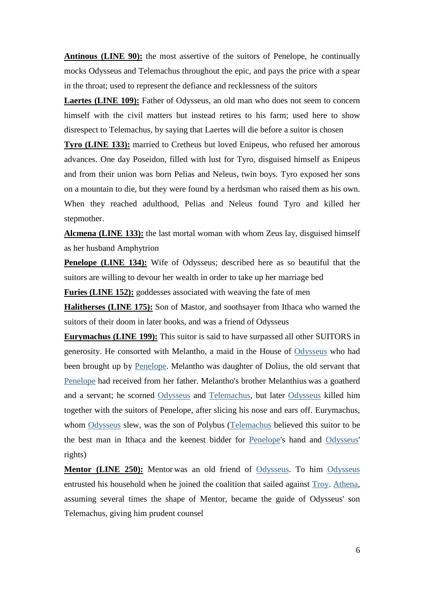**Antinous (LINE 90):** the most assertive of the suitors of Penelope, he continually mocks Odysseus and Telemachus throughout the epic, and pays the price with a spear in the throat; used to represent the defiance and recklessness of the suitors

**Laertes (LINE 109):** Father of Odysseus, an old man who does not seem to concern himself with the civil matters but instead retires to his farm; used here to show disrespect to Telemachus, by saying that Laertes will die before a suitor is chosen

**Tyro (LINE 133):** married to Cretheus but loved Enipeus, who refused her amorous advances. One day Poseidon, filled with lust for Tyro, disguised himself as Enipeus and from their union was born Pelias and Neleus, twin boys. Tyro exposed her sons on a mountain to die, but they were found by a herdsman who raised them as his own. When they reached adulthood, Pelias and Neleus found Tyro and killed her stepmother.

**Alcmena (LINE 133):** the last mortal woman with whom Zeus lay, disguised himself as her husband Amphytrion

**Penelope (LINE 134):** Wife of Odysseus; described here as so beautiful that the suitors are willing to devour her wealth in order to take up her marriage bed

**Furies (LINE 152):** goddesses associated with weaving the fate of men

**Halitherses (LINE 175):** Son of Mastor, and soothsayer from Ithaca who warned the suitors of their doom in later books, and was a friend of Odysseus

**Eurymachus (LINE 199):** This suitor is said to have surpassed all other SUITORS in generosity. He consorted with Melantho, a maid in the House of Odysseus who had been brought up by Penelope. Melantho was daughter of Dolius, the old servant that Penelope had received from her father. Melantho's brother Melanthius was a goatherd and a servant; he scorned Odysseus and Telemachus, but later Odysseus killed him together with the suitors of Penelope, after slicing his nose and ears off. Eurymachus, whom Odysseus slew, was the son of Polybus (Telemachus believed this suitor to be the best man in Ithaca and the keenest bidder for Penelope's hand and Odysseus' rights)

**Mentor (LINE 250):** Mentor was an old friend of Odysseus. To him Odysseus entrusted his household when he joined the coalition that sailed against Troy. Athena, assuming several times the shape of Mentor, became the guide of Odysseus' son Telemachus, giving him prudent counsel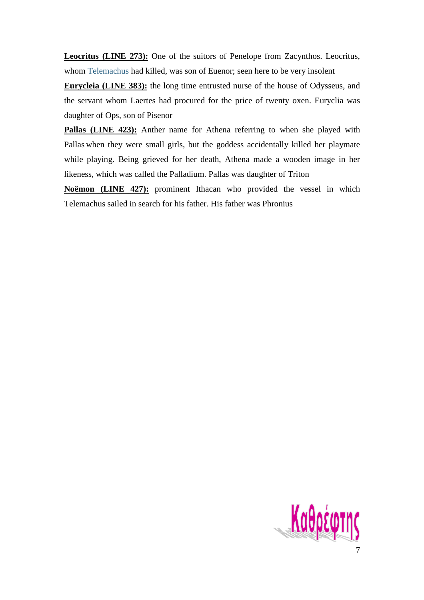**Leocritus (LINE 273):** One of the suitors of Penelope from Zacynthos. Leocritus, whom Telemachus had killed, was son of Euenor; seen here to be very insolent

**Eurycleia (LINE 383):** the long time entrusted nurse of the house of Odysseus, and the servant whom Laertes had procured for the price of twenty oxen. Euryclia was daughter of Ops, son of Pisenor

**Pallas (LINE 423):** Anther name for Athena referring to when she played with Pallas when they were small girls, but the goddess accidentally killed her playmate while playing. Being grieved for her death, Athena made a wooden image in her likeness, which was called the Palladium. Pallas was daughter of Triton

**Noëmon (LINE 427):** prominent Ithacan who provided the vessel in which Telemachus sailed in search for his father. His father was Phronius

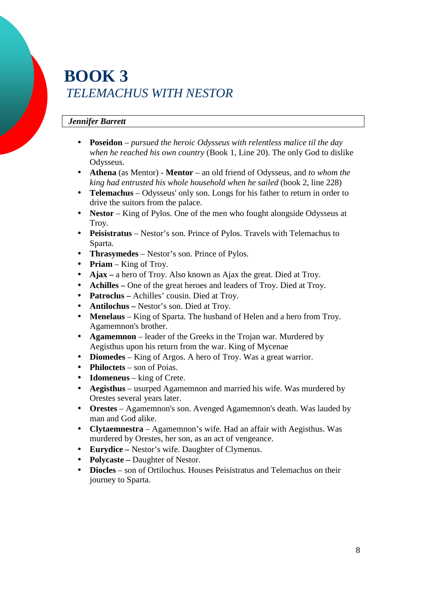## **BOOK 3**  *TELEMACHUS WITH NESTOR*

### *Jennifer Barrett*

- **Poseidon** *pursued the heroic Odysseus with relentless malice til the day when he reached his own country* (Book 1, Line 20). The only God to dislike Odysseus.
- **Athena** (as Mentor) **Mentor**  an old friend of Odysseus, and *to whom the king had entrusted his whole household when he sailed* (book 2, line 228)
- **Telemachus** Odysseus' only son. Longs for his father to return in order to drive the suitors from the palace.
- **Nestor** King of Pylos. One of the men who fought alongside Odysseus at Troy.
- **Peisistratus** Nestor's son. Prince of Pylos. Travels with Telemachus to Sparta.
- **Thrasymedes**  Nestor's son. Prince of Pylos.
- **Priam**  King of Troy.
- **Ajax** a hero of Troy. Also known as Ajax the great. Died at Troy.
- **Achilles** One of the great heroes and leaders of Troy. Died at Troy.
- **Patroclus** Achilles' cousin. Died at Troy.
- **Antilochus** Nestor's son. Died at Troy.
- **Menelaus** King of Sparta. The husband of Helen and a hero from Troy. Agamemnon's brother.
- **Agamemnon** leader of the Greeks in the Trojan war. Murdered by Aegisthus upon his return from the war. King of Mycenae
- **Diomedes** King of Argos. A hero of Troy. Was a great warrior.
- **Philoctets** son of Poias.
- **Idomeneus** king of Crete.
- **Aegisthus** usurped Agamemnon and married his wife. Was murdered by Orestes several years later.
- **Orestes** Agamemnon's son. Avenged Agamemnon's death. Was lauded by man and God alike.
- **Clytaemnestra**  Agamemnon's wife. Had an affair with Aegisthus. Was murdered by Orestes, her son, as an act of vengeance.
- **Eurydice** Nestor's wife. Daughter of Clymenus.
- **Polycaste –** Daughter of Nestor.
- **Diocles** son of Ortilochus. Houses Peisistratus and Telemachus on their journey to Sparta.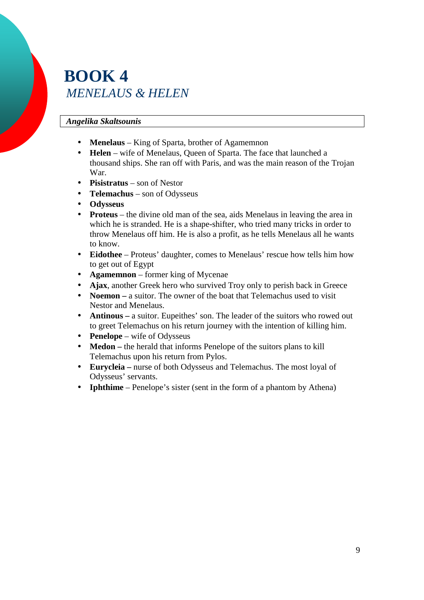## **BOOK 4**  *MENELAUS & HELEN*

#### *Angelika Skaltsounis*

- **Menelaus** King of Sparta, brother of Agamemnon
- **Helen** wife of Menelaus, Queen of Sparta. The face that launched a thousand ships. She ran off with Paris, and was the main reason of the Trojan War.
- **Pisistratus** son of Nestor
- **Telemachus** son of Odysseus
- **Odysseus**
- **Proteus** the divine old man of the sea, aids Menelaus in leaving the area in which he is stranded. He is a shape-shifter, who tried many tricks in order to throw Menelaus off him. He is also a profit, as he tells Menelaus all he wants to know.
- **Eidothee** Proteus' daughter, comes to Menelaus' rescue how tells him how to get out of Egypt
- **Agamemnon** former king of Mycenae
- **Ajax**, another Greek hero who survived Troy only to perish back in Greece
- **Noemon** a suitor. The owner of the boat that Telemachus used to visit Nestor and Menelaus.
- **Antinous** a suitor. Eupeithes' son. The leader of the suitors who rowed out to greet Telemachus on his return journey with the intention of killing him.
- **Penelope** wife of Odysseus
- **Medon** the herald that informs Penelope of the suitors plans to kill Telemachus upon his return from Pylos.
- **Eurycleia** nurse of both Odysseus and Telemachus. The most loyal of Odysseus' servants.
- **Iphthime** Penelope's sister (sent in the form of a phantom by Athena)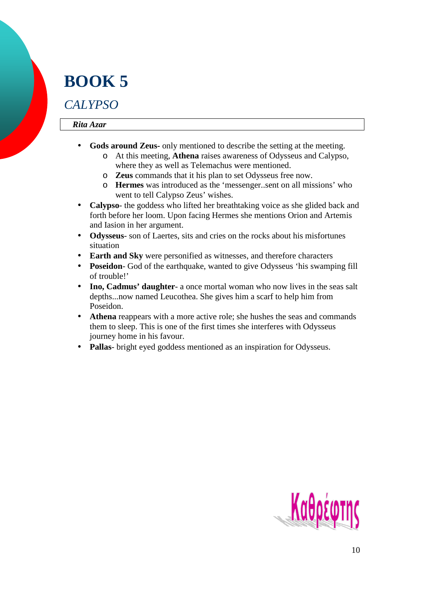# **BOOK 5**

### *CALYPSO*

#### *Rita Azar*

- **Gods around Zeus-** only mentioned to describe the setting at the meeting.
	- o At this meeting, **Athena** raises awareness of Odysseus and Calypso, where they as well as Telemachus were mentioned.
	- o **Zeus** commands that it his plan to set Odysseus free now.
	- o **Hermes** was introduced as the 'messenger..sent on all missions' who went to tell Calypso Zeus' wishes.
- **Calypso** the goddess who lifted her breathtaking voice as she glided back and forth before her loom. Upon facing Hermes she mentions Orion and Artemis and Iasion in her argument.
- **Odysseus** son of Laertes, sits and cries on the rocks about his misfortunes situation
- **Earth and Sky** were personified as witnesses, and therefore characters
- **Poseidon** God of the earthquake, wanted to give Odysseus 'his swamping fill of trouble!'
- **Ino, Cadmus' daughter** a once mortal woman who now lives in the seas salt depths...now named Leucothea. She gives him a scarf to help him from Poseidon.
- **Athena** reappears with a more active role; she hushes the seas and commands them to sleep. This is one of the first times she interferes with Odysseus journey home in his favour.
- **Pallas** bright eyed goddess mentioned as an inspiration for Odysseus.

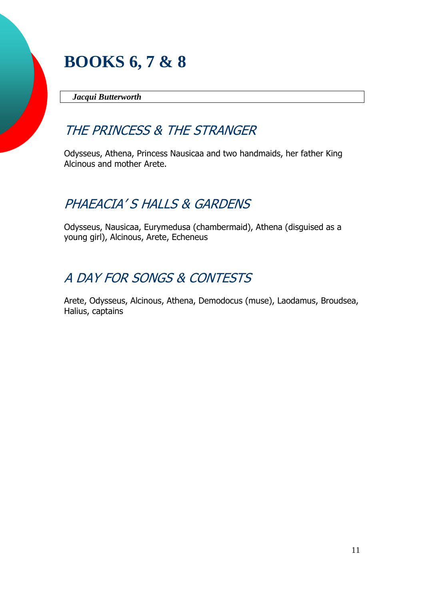## **BOOKS 6, 7 & 8**

 *Jacqui Butterworth*

### THE PRINCESS & THE STRANGER

Odysseus, Athena, Princess Nausicaa and two handmaids, her father King Alcinous and mother Arete.

## PHAEACIA'S HALLS & GARDENS

Odysseus, Nausicaa, Eurymedusa (chambermaid), Athena (disguised as a young girl), Alcinous, Arete, Echeneus

## A DAY FOR SONGS & CONTESTS

Arete, Odysseus, Alcinous, Athena, Demodocus (muse), Laodamus, Broudsea, Halius, captains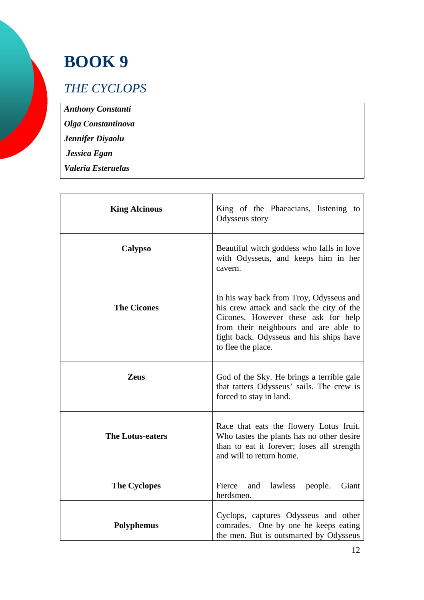# **BOOK 9**

### *THE CYCLOPS*

*Anthony Constanti* 

*Olga Constantinova* 

*Jennifer Diyaolu* 

 *Jessica Egan* 

*Valeria Esteruelas* 

| <b>King Alcinous</b>    | King of the Phaeacians, listening to<br>Odysseus story                                                                                                                                                                               |
|-------------------------|--------------------------------------------------------------------------------------------------------------------------------------------------------------------------------------------------------------------------------------|
| <b>Calypso</b>          | Beautiful witch goddess who falls in love<br>with Odysseus, and keeps him in her<br>cavern.                                                                                                                                          |
| <b>The Cicones</b>      | In his way back from Troy, Odysseus and<br>his crew attack and sack the city of the<br>Cicones. However these ask for help<br>from their neighbours and are able to<br>fight back. Odysseus and his ships have<br>to flee the place. |
| <b>Zeus</b>             | God of the Sky. He brings a terrible gale<br>that tatters Odysseus' sails. The crew is<br>forced to stay in land.                                                                                                                    |
| <b>The Lotus-eaters</b> | Race that eats the flowery Lotus fruit.<br>Who tastes the plants has no other desire<br>than to eat it forever; loses all strength<br>and will to return home.                                                                       |
| <b>The Cyclopes</b>     | Fierce<br>and<br>lawless people.<br>Giant<br>herdsmen.                                                                                                                                                                               |
| <b>Polyphemus</b>       | Cyclops, captures Odysseus and other<br>comrades. One by one he keeps eating<br>the men. But is outsmarted by Odysseus                                                                                                               |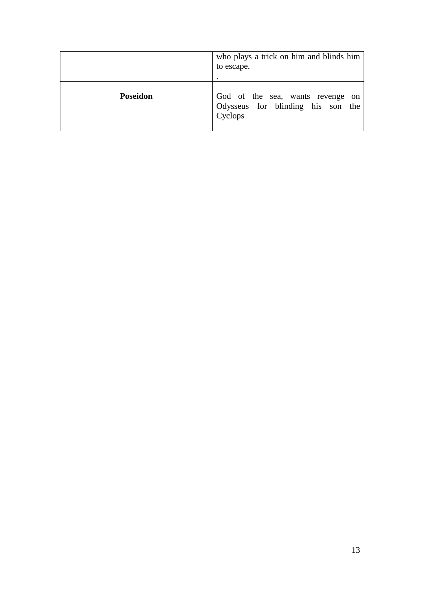|                 | who plays a trick on him and blinds him<br>to escape.                            |
|-----------------|----------------------------------------------------------------------------------|
| <b>Poseidon</b> | God of the sea, wants revenge on<br>Odysseus for blinding his son the<br>Cyclops |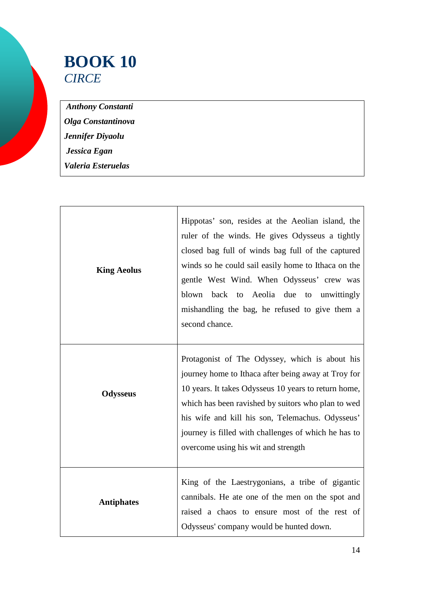## **BOOK 10**  *CIRCE*

 *Anthony Constanti Olga Constantinova Jennifer Diyaolu Jessica Egan Valeria Esteruelas* 

| <b>King Aeolus</b> | Hippotas' son, resides at the Aeolian island, the<br>ruler of the winds. He gives Odysseus a tightly<br>closed bag full of winds bag full of the captured<br>winds so he could sail easily home to Ithaca on the<br>gentle West Wind. When Odysseus' crew was<br>back to Aeolia<br>due<br>blown<br>to<br>unwittingly<br>mishandling the bag, he refused to give them a<br>second chance. |
|--------------------|------------------------------------------------------------------------------------------------------------------------------------------------------------------------------------------------------------------------------------------------------------------------------------------------------------------------------------------------------------------------------------------|
| <b>Odysseus</b>    | Protagonist of The Odyssey, which is about his<br>journey home to Ithaca after being away at Troy for<br>10 years. It takes Odysseus 10 years to return home,<br>which has been ravished by suitors who plan to wed<br>his wife and kill his son, Telemachus. Odysseus'<br>journey is filled with challenges of which he has to<br>overcome using his wit and strength                   |
| <b>Antiphates</b>  | King of the Laestrygonians, a tribe of gigantic<br>cannibals. He ate one of the men on the spot and<br>raised a chaos to ensure most of the rest of<br>Odysseus' company would be hunted down.                                                                                                                                                                                           |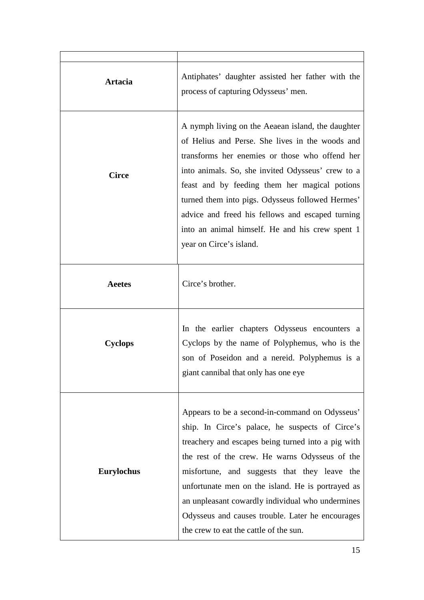| Artacia           | Antiphates' daughter assisted her father with the<br>process of capturing Odysseus' men.                                                                                                                                                                                                                                                                                                                                                                         |
|-------------------|------------------------------------------------------------------------------------------------------------------------------------------------------------------------------------------------------------------------------------------------------------------------------------------------------------------------------------------------------------------------------------------------------------------------------------------------------------------|
| <b>Circe</b>      | A nymph living on the Aeaean island, the daughter<br>of Helius and Perse. She lives in the woods and<br>transforms her enemies or those who offend her<br>into animals. So, she invited Odysseus' crew to a<br>feast and by feeding them her magical potions<br>turned them into pigs. Odysseus followed Hermes'<br>advice and freed his fellows and escaped turning<br>into an animal himself. He and his crew spent 1<br>year on Circe's island.               |
| <b>Aeetes</b>     | Circe's brother.                                                                                                                                                                                                                                                                                                                                                                                                                                                 |
| <b>Cyclops</b>    | In the earlier chapters Odysseus encounters a<br>Cyclops by the name of Polyphemus, who is the<br>son of Poseidon and a nereid. Polyphemus is a<br>giant cannibal that only has one eye                                                                                                                                                                                                                                                                          |
| <b>Eurylochus</b> | Appears to be a second-in-command on Odysseus'<br>ship. In Circe's palace, he suspects of Circe's<br>treachery and escapes being turned into a pig with<br>the rest of the crew. He warns Odysseus of the<br>misfortune, and suggests that they leave the<br>unfortunate men on the island. He is portrayed as<br>an unpleasant cowardly individual who undermines<br>Odysseus and causes trouble. Later he encourages<br>the crew to eat the cattle of the sun. |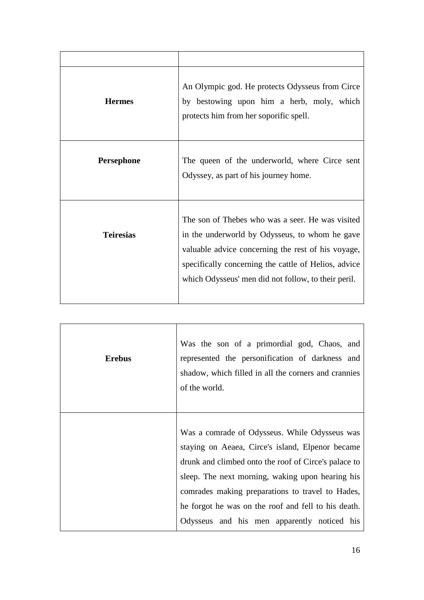| <b>Hermes</b>    | An Olympic god. He protects Odysseus from Circe<br>by bestowing upon him a herb, moly, which<br>protects him from her soporific spell.                                                                                                                                  |
|------------------|-------------------------------------------------------------------------------------------------------------------------------------------------------------------------------------------------------------------------------------------------------------------------|
| Persephone       | The queen of the underworld, where Circe sent<br>Odyssey, as part of his journey home.                                                                                                                                                                                  |
| <b>Teiresias</b> | The son of Thebes who was a seer. He was visited<br>in the underworld by Odysseus, to whom he gave<br>valuable advice concerning the rest of his voyage,<br>specifically concerning the cattle of Helios, advice<br>which Odysseus' men did not follow, to their peril. |

| <b>Erebus</b> | Was the son of a primordial god, Chaos, and<br>represented the personification of darkness and<br>shadow, which filled in all the corners and crannies<br>of the world.                                                                                                                                                                                                 |
|---------------|-------------------------------------------------------------------------------------------------------------------------------------------------------------------------------------------------------------------------------------------------------------------------------------------------------------------------------------------------------------------------|
|               | Was a comrade of Odysseus. While Odysseus was<br>staying on Aeaea, Circe's island, Elpenor became<br>drunk and climbed onto the roof of Circe's palace to<br>sleep. The next morning, waking upon hearing his<br>comrades making preparations to travel to Hades,<br>he forgot he was on the roof and fell to his death.<br>Odysseus and his men apparently noticed his |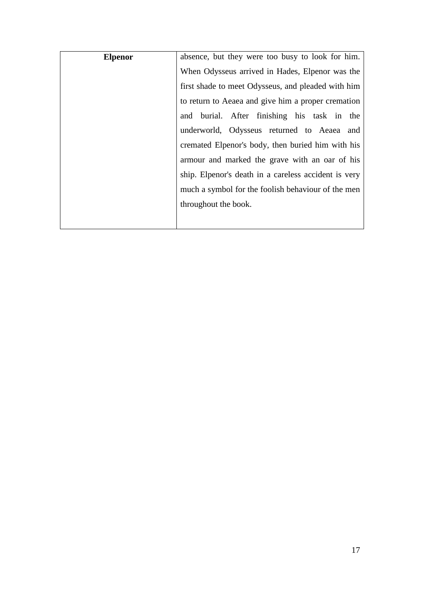| <b>Elpenor</b> | absence, but they were too busy to look for him.     |
|----------------|------------------------------------------------------|
|                | When Odysseus arrived in Hades, Elpenor was the      |
|                | first shade to meet Odysseus, and pleaded with him   |
|                | to return to Aeaea and give him a proper cremation   |
|                | and burial. After finishing his task in the          |
|                | underworld, Odysseus returned to Aeaea and           |
|                | cremated Elpenor's body, then buried him with his    |
|                | armour and marked the grave with an oar of his       |
|                | ship. Elpenor's death in a careless accident is very |
|                | much a symbol for the foolish behaviour of the men   |
|                | throughout the book.                                 |
|                |                                                      |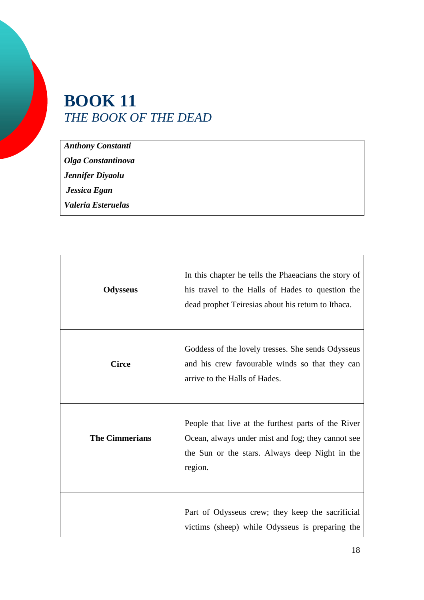## **BOOK 11**  *THE BOOK OF THE DEAD*

*Anthony Constanti Olga Constantinova Jennifer Diyaolu Jessica Egan* 

*Valeria Esteruelas* 

| <b>Odysseus</b>       | In this chapter he tells the Phaeacians the story of<br>his travel to the Halls of Hades to question the<br>dead prophet Teiresias about his return to Ithaca.        |
|-----------------------|-----------------------------------------------------------------------------------------------------------------------------------------------------------------------|
| <b>Circe</b>          | Goddess of the lovely tresses. She sends Odysseus<br>and his crew favourable winds so that they can<br>arrive to the Halls of Hades.                                  |
| <b>The Cimmerians</b> | People that live at the furthest parts of the River<br>Ocean, always under mist and fog; they cannot see<br>the Sun or the stars. Always deep Night in the<br>region. |
|                       | Part of Odysseus crew; they keep the sacrificial<br>victims (sheep) while Odysseus is preparing the                                                                   |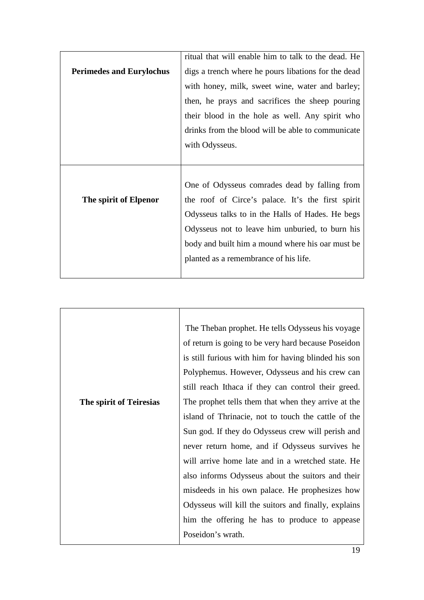|                                 | ritual that will enable him to talk to the dead. He |
|---------------------------------|-----------------------------------------------------|
| <b>Perimedes and Eurylochus</b> | digs a trench where he pours libations for the dead |
|                                 | with honey, milk, sweet wine, water and barley;     |
|                                 | then, he prays and sacrifices the sheep pouring     |
|                                 | their blood in the hole as well. Any spirit who     |
|                                 | drinks from the blood will be able to communicate   |
|                                 | with Odysseus.                                      |
|                                 |                                                     |
|                                 |                                                     |
|                                 |                                                     |
|                                 | One of Odysseus comrades dead by falling from       |
| The spirit of Elpenor           | the roof of Circe's palace. It's the first spirit   |
|                                 | Odysseus talks to in the Halls of Hades. He begs    |
|                                 | Odysseus not to leave him unburied, to burn his     |
|                                 | body and built him a mound where his oar must be    |
|                                 | planted as a remembrance of his life.               |

|                         | The Theban prophet. He tells Odysseus his voyage     |
|-------------------------|------------------------------------------------------|
|                         | of return is going to be very hard because Poseidon  |
|                         | is still furious with him for having blinded his son |
|                         | Polyphemus. However, Odysseus and his crew can       |
|                         | still reach Ithaca if they can control their greed.  |
| The spirit of Teiresias | The prophet tells them that when they arrive at the  |
|                         | island of Thrinacie, not to touch the cattle of the  |
|                         | Sun god. If they do Odysseus crew will perish and    |
|                         | never return home, and if Odysseus survives he       |
|                         | will arrive home late and in a wretched state. He    |
|                         | also informs Odysseus about the suitors and their    |
|                         | misdeeds in his own palace. He prophesizes how       |
|                         | Odysseus will kill the suitors and finally, explains |
|                         | him the offering he has to produce to appease        |
|                         | Poseidon's wrath.                                    |
|                         |                                                      |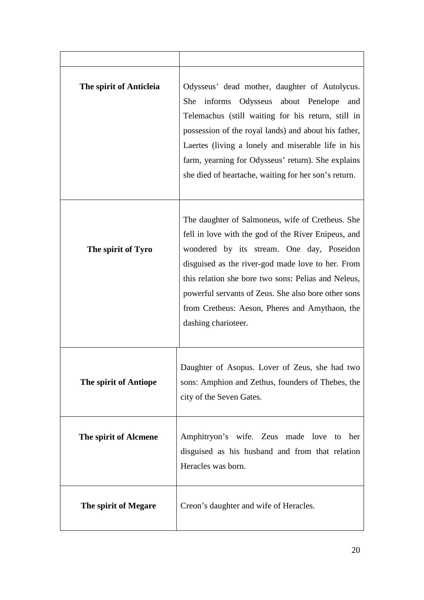| The spirit of Anticleia | Odysseus' dead mother, daughter of Autolycus.<br>informs Odysseus about Penelope<br>She<br>and<br>Telemachus (still waiting for his return, still in<br>possession of the royal lands) and about his father,<br>Laertes (living a lonely and miserable life in his<br>farm, yearning for Odysseus' return). She explains<br>she died of heartache, waiting for her son's return.                 |
|-------------------------|--------------------------------------------------------------------------------------------------------------------------------------------------------------------------------------------------------------------------------------------------------------------------------------------------------------------------------------------------------------------------------------------------|
| The spirit of Tyro      | The daughter of Salmoneus, wife of Cretheus. She<br>fell in love with the god of the River Enipeus, and<br>wondered by its stream. One day, Poseidon<br>disguised as the river-god made love to her. From<br>this relation she bore two sons: Pelias and Neleus,<br>powerful servants of Zeus. She also bore other sons<br>from Cretheus: Aeson, Pheres and Amythaon, the<br>dashing charioteer. |
| The spirit of Antiope   | Daughter of Asopus. Lover of Zeus, she had two<br>sons: Amphion and Zethus, founders of Thebes, the<br>city of the Seven Gates.                                                                                                                                                                                                                                                                  |
| The spirit of Alcmene   | Amphitryon's wife. Zeus made love to<br>her<br>disguised as his husband and from that relation<br>Heracles was born.                                                                                                                                                                                                                                                                             |
| The spirit of Megare    | Creon's daughter and wife of Heracles.                                                                                                                                                                                                                                                                                                                                                           |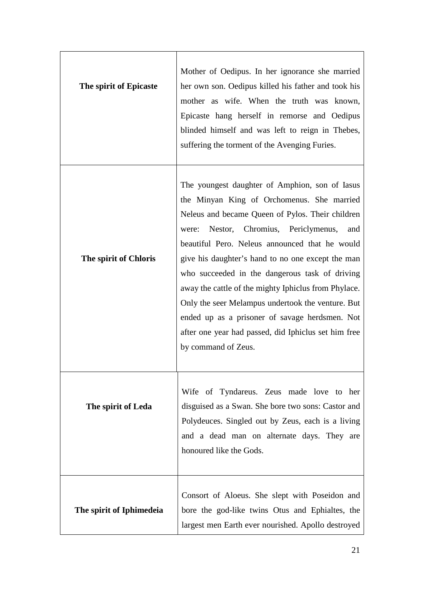| The spirit of Epicaste   | Mother of Oedipus. In her ignorance she married<br>her own son. Oedipus killed his father and took his<br>mother as wife. When the truth was known,<br>Epicaste hang herself in remorse and Oedipus<br>blinded himself and was left to reign in Thebes,<br>suffering the torment of the Avenging Furies.                                                                                                                                                                                                                                                                                                   |
|--------------------------|------------------------------------------------------------------------------------------------------------------------------------------------------------------------------------------------------------------------------------------------------------------------------------------------------------------------------------------------------------------------------------------------------------------------------------------------------------------------------------------------------------------------------------------------------------------------------------------------------------|
| The spirit of Chloris    | The youngest daughter of Amphion, son of Iasus<br>the Minyan King of Orchomenus. She married<br>Neleus and became Queen of Pylos. Their children<br>Nestor, Chromius, Periclymenus,<br>were:<br>and<br>beautiful Pero. Neleus announced that he would<br>give his daughter's hand to no one except the man<br>who succeeded in the dangerous task of driving<br>away the cattle of the mighty Iphiclus from Phylace.<br>Only the seer Melampus undertook the venture. But<br>ended up as a prisoner of savage herdsmen. Not<br>after one year had passed, did Iphiclus set him free<br>by command of Zeus. |
| The spirit of Leda       | Wife of Tyndareus. Zeus made love to her<br>disguised as a Swan. She bore two sons: Castor and<br>Polydeuces. Singled out by Zeus, each is a living<br>and a dead man on alternate days. They are<br>honoured like the Gods.                                                                                                                                                                                                                                                                                                                                                                               |
| The spirit of Iphimedeia | Consort of Aloeus. She slept with Poseidon and<br>bore the god-like twins Otus and Ephialtes, the<br>largest men Earth ever nourished. Apollo destroyed                                                                                                                                                                                                                                                                                                                                                                                                                                                    |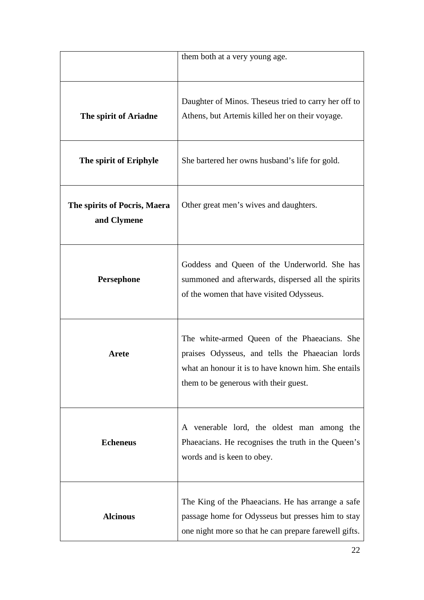|                                             | them both at a very young age.                                                                                                                                                                  |
|---------------------------------------------|-------------------------------------------------------------------------------------------------------------------------------------------------------------------------------------------------|
| The spirit of Ariadne                       | Daughter of Minos. These is tried to carry her off to<br>Athens, but Artemis killed her on their voyage.                                                                                        |
| The spirit of Eriphyle                      | She bartered her owns husband's life for gold.                                                                                                                                                  |
| The spirits of Pocris, Maera<br>and Clymene | Other great men's wives and daughters.                                                                                                                                                          |
| Persephone                                  | Goddess and Queen of the Underworld. She has<br>summoned and afterwards, dispersed all the spirits<br>of the women that have visited Odysseus.                                                  |
| Arete                                       | The white-armed Queen of the Phaeacians. She<br>praises Odysseus, and tells the Phaeacian lords<br>what an honour it is to have known him. She entails<br>them to be generous with their guest. |
| <b>Echeneus</b>                             | A venerable lord, the oldest man among the<br>Phaeacians. He recognises the truth in the Queen's<br>words and is keen to obey.                                                                  |
| <b>Alcinous</b>                             | The King of the Phaeacians. He has arrange a safe<br>passage home for Odysseus but presses him to stay<br>one night more so that he can prepare farewell gifts.                                 |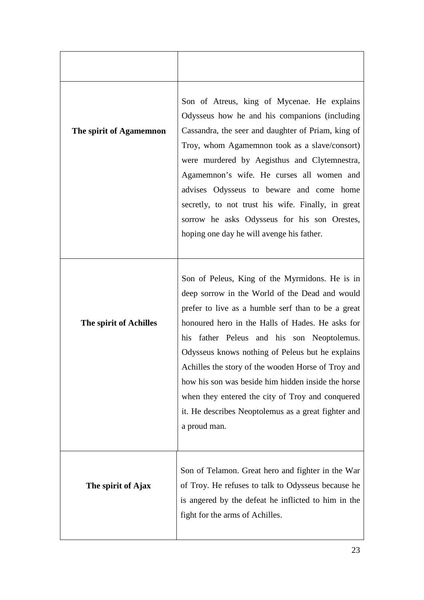| The spirit of Agamemnon | Son of Atreus, king of Mycenae. He explains<br>Odysseus how he and his companions (including<br>Cassandra, the seer and daughter of Priam, king of<br>Troy, whom Agamemnon took as a slave/consort)<br>were murdered by Aegisthus and Clytemnestra,<br>Agamemnon's wife. He curses all women and<br>advises Odysseus to beware and come home<br>secretly, to not trust his wife. Finally, in great<br>sorrow he asks Odysseus for his son Orestes,<br>hoping one day he will avenge his father.                                                     |
|-------------------------|-----------------------------------------------------------------------------------------------------------------------------------------------------------------------------------------------------------------------------------------------------------------------------------------------------------------------------------------------------------------------------------------------------------------------------------------------------------------------------------------------------------------------------------------------------|
| The spirit of Achilles  | Son of Peleus, King of the Myrmidons. He is in<br>deep sorrow in the World of the Dead and would<br>prefer to live as a humble serf than to be a great<br>honoured hero in the Halls of Hades. He asks for<br>his father Peleus and his son Neoptolemus.<br>Odysseus knows nothing of Peleus but he explains<br>Achilles the story of the wooden Horse of Troy and<br>how his son was beside him hidden inside the horse<br>when they entered the city of Troy and conquered<br>it. He describes Neoptolemus as a great fighter and<br>a proud man. |
| The spirit of Ajax      | Son of Telamon. Great hero and fighter in the War<br>of Troy. He refuses to talk to Odysseus because he<br>is angered by the defeat he inflicted to him in the<br>fight for the arms of Achilles.                                                                                                                                                                                                                                                                                                                                                   |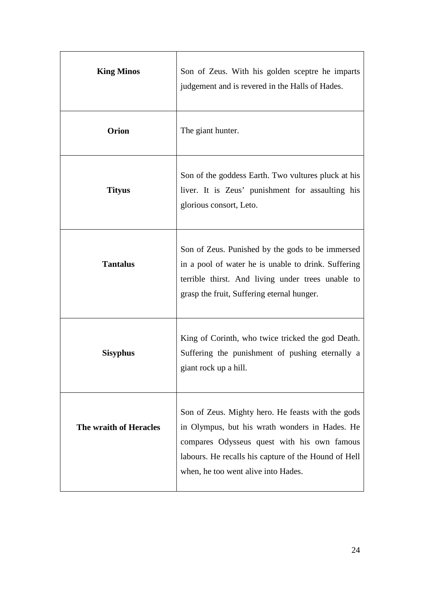| <b>King Minos</b>      | Son of Zeus. With his golden sceptre he imparts<br>judgement and is revered in the Halls of Hades.                                                                                                                                                |
|------------------------|---------------------------------------------------------------------------------------------------------------------------------------------------------------------------------------------------------------------------------------------------|
| <b>Orion</b>           | The giant hunter.                                                                                                                                                                                                                                 |
| <b>Tityus</b>          | Son of the goddess Earth. Two vultures pluck at his<br>liver. It is Zeus' punishment for assaulting his<br>glorious consort, Leto.                                                                                                                |
| <b>Tantalus</b>        | Son of Zeus. Punished by the gods to be immersed<br>in a pool of water he is unable to drink. Suffering<br>terrible thirst. And living under trees unable to<br>grasp the fruit, Suffering eternal hunger.                                        |
| <b>Sisyphus</b>        | King of Corinth, who twice tricked the god Death.<br>Suffering the punishment of pushing eternally a<br>giant rock up a hill.                                                                                                                     |
| The wraith of Heracles | Son of Zeus. Mighty hero. He feasts with the gods<br>in Olympus, but his wrath wonders in Hades. He<br>compares Odysseus quest with his own famous<br>labours. He recalls his capture of the Hound of Hell<br>when, he too went alive into Hades. |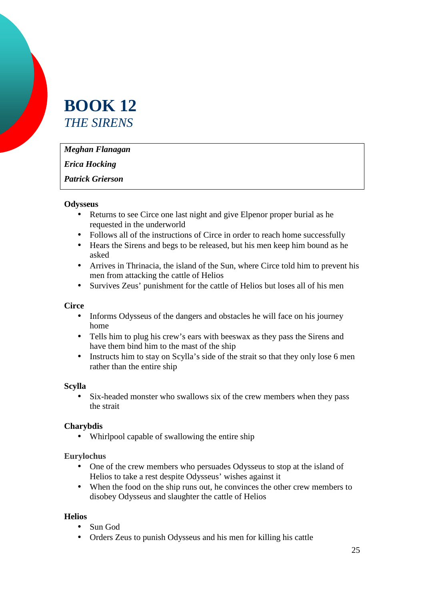## **BOOK 12**  *THE SIRENS*

*Meghan Flanagan* 

*Erica Hocking* 

*Patrick Grierson* 

#### **Odysseus**

- Returns to see Circe one last night and give Elpenor proper burial as he requested in the underworld
- Follows all of the instructions of Circe in order to reach home successfully
- Hears the Sirens and begs to be released, but his men keep him bound as he asked
- Arrives in Thrinacia, the island of the Sun, where Circe told him to prevent his men from attacking the cattle of Helios
- Survives Zeus' punishment for the cattle of Helios but loses all of his men

#### **Circe**

- Informs Odysseus of the dangers and obstacles he will face on his journey home
- Tells him to plug his crew's ears with beeswax as they pass the Sirens and have them bind him to the mast of the ship
- Instructs him to stay on Scylla's side of the strait so that they only lose 6 men rather than the entire ship

#### **Scylla**

• Six-headed monster who swallows six of the crew members when they pass the strait

#### **Charybdis**

• Whirlpool capable of swallowing the entire ship

**Eurylochus** 

- One of the crew members who persuades Odysseus to stop at the island of Helios to take a rest despite Odysseus' wishes against it
- When the food on the ship runs out, he convinces the other crew members to disobey Odysseus and slaughter the cattle of Helios

#### **Helios**

- Sun God
- Orders Zeus to punish Odysseus and his men for killing his cattle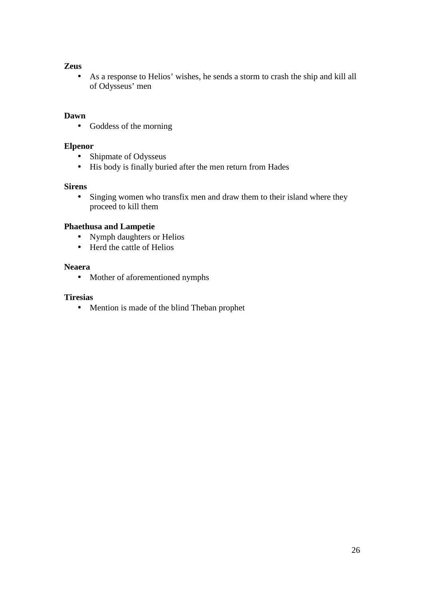#### **Zeus**

• As a response to Helios' wishes, he sends a storm to crash the ship and kill all of Odysseus' men

#### **Dawn**

• Goddess of the morning

#### **Elpenor**

- Shipmate of Odysseus
- His body is finally buried after the men return from Hades

#### **Sirens**

• Singing women who transfix men and draw them to their island where they proceed to kill them

#### **Phaethusa and Lampetie**

- Nymph daughters or Helios
- Herd the cattle of Helios

#### **Neaera**

• Mother of aforementioned nymphs

#### **Tiresias**

• Mention is made of the blind Theban prophet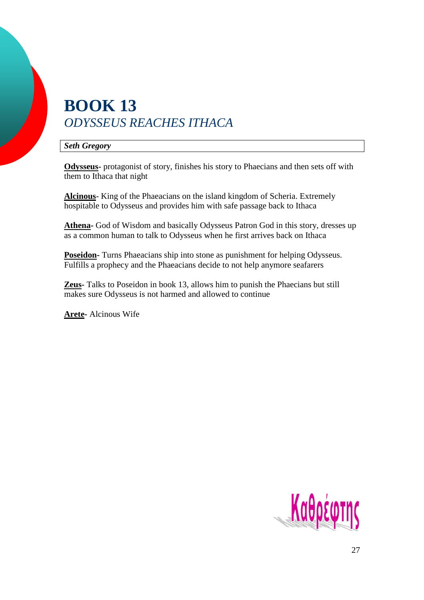## **BOOK 13**  *ODYSSEUS REACHES ITHACA*

*Seth Gregory* 

**Odysseus-** protagonist of story, finishes his story to Phaecians and then sets off with them to Ithaca that night

**Alcinous**- King of the Phaeacians on the island kingdom of Scheria. Extremely hospitable to Odysseus and provides him with safe passage back to Ithaca

**Athena-** God of Wisdom and basically Odysseus Patron God in this story, dresses up as a common human to talk to Odysseus when he first arrives back on Ithaca

**Poseidon-** Turns Phaeacians ship into stone as punishment for helping Odysseus. Fulfills a prophecy and the Phaeacians decide to not help anymore seafarers

**Zeus-** Talks to Poseidon in book 13, allows him to punish the Phaecians but still makes sure Odysseus is not harmed and allowed to continue

**Arete-** Alcinous Wife

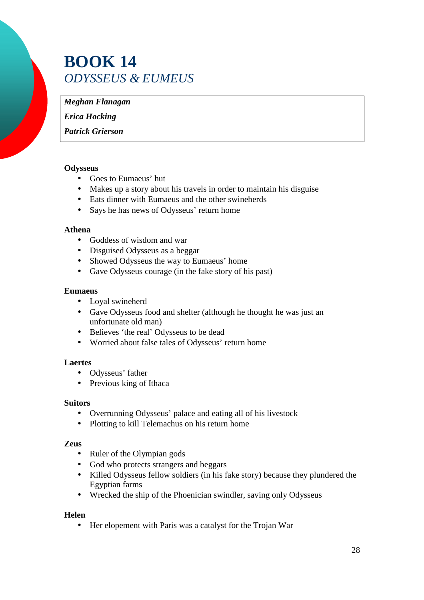## **BOOK 14**  *ODYSSEUS & EUMEUS*

*Meghan Flanagan* 

*Erica Hocking* 

*Patrick Grierson* 

#### **Odysseus**

- Goes to Eumaeus' hut
- Makes up a story about his travels in order to maintain his disguise
- Eats dinner with Eumaeus and the other swineherds
- Says he has news of Odysseus' return home

#### **Athena**

- Goddess of wisdom and war
- Disguised Odysseus as a beggar
- Showed Odysseus the way to Eumaeus' home
- Gave Odysseus courage (in the fake story of his past)

#### **Eumaeus**

- Loyal swineherd
- Gave Odysseus food and shelter (although he thought he was just an unfortunate old man)
- Believes 'the real' Odysseus to be dead
- Worried about false tales of Odysseus' return home

#### **Laertes**

- Odysseus' father
- Previous king of Ithaca

#### **Suitors**

- Overrunning Odysseus' palace and eating all of his livestock
- Plotting to kill Telemachus on his return home

#### **Zeus**

- Ruler of the Olympian gods
- God who protects strangers and beggars
- Killed Odysseus fellow soldiers (in his fake story) because they plundered the Egyptian farms
- Wrecked the ship of the Phoenician swindler, saving only Odysseus

#### **Helen**

• Her elopement with Paris was a catalyst for the Trojan War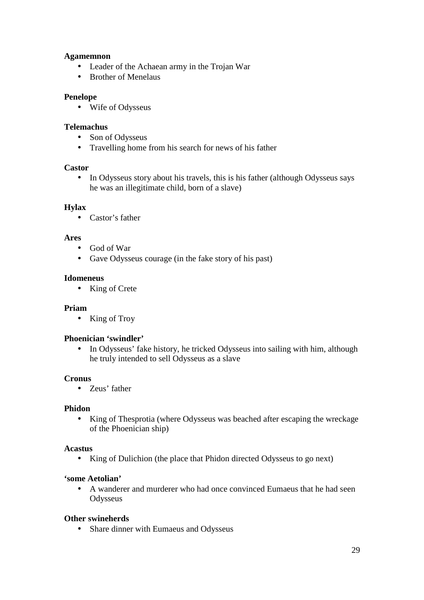#### **Agamemnon**

- Leader of the Achaean army in the Trojan War
- Brother of Menelaus

#### **Penelope**

• Wife of Odysseus

#### **Telemachus**

- Son of Odysseus
- Travelling home from his search for news of his father

#### **Castor**

• In Odysseus story about his travels, this is his father (although Odysseus says he was an illegitimate child, born of a slave)

#### **Hylax**

• Castor's father

#### **Ares**

- God of War
- Gave Odysseus courage (in the fake story of his past)

#### **Idomeneus**

• King of Crete

#### **Priam**

• King of Troy

#### **Phoenician 'swindler'**

• In Odysseus' fake history, he tricked Odysseus into sailing with him, although he truly intended to sell Odysseus as a slave

#### **Cronus**

• Zeus' father

#### **Phidon**

• King of Thesprotia (where Odysseus was beached after escaping the wreckage of the Phoenician ship)

#### **Acastus**

• King of Dulichion (the place that Phidon directed Odysseus to go next)

#### **'some Aetolian'**

• A wanderer and murderer who had once convinced Eumaeus that he had seen **Odysseus** 

#### **Other swineherds**

• Share dinner with Eumaeus and Odysseus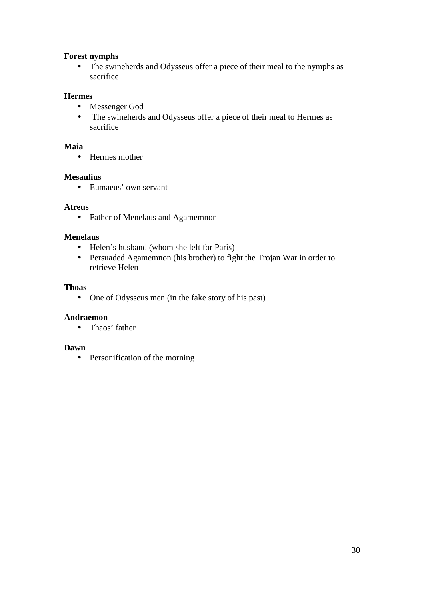#### **Forest nymphs**

• The swineherds and Odysseus offer a piece of their meal to the nymphs as sacrifice

#### **Hermes**

- Messenger God
- The swineherds and Odysseus offer a piece of their meal to Hermes as sacrifice

#### **Maia**

• Hermes mother

#### **Mesaulius**

• Eumaeus' own servant

#### **Atreus**

• Father of Menelaus and Agamemnon

#### **Menelaus**

- Helen's husband (whom she left for Paris)
- Persuaded Agamemnon (his brother) to fight the Trojan War in order to retrieve Helen

#### **Thoas**

• One of Odysseus men (in the fake story of his past)

#### **Andraemon**

• Thaos' father

#### **Dawn**

• Personification of the morning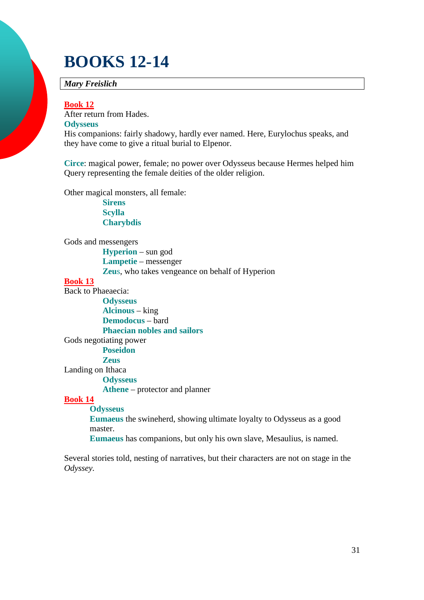## **BOOKS 12-14**

#### *Mary Freislich*

#### **Book 12**

After return from Hades. **Odysseus** 

His companions: fairly shadowy, hardly ever named. Here, Eurylochus speaks, and they have come to give a ritual burial to Elpenor.

**Circe**: magical power, female; no power over Odysseus because Hermes helped him Query representing the female deities of the older religion.

Other magical monsters, all female:

**Sirens Scylla Charybdis** 

#### Gods and messengers

**Hyperion** – sun god **Lampetie** – messenger **Zeu**s, who takes vengeance on behalf of Hyperion

#### **Book 13**

Back to Phaeaecia:

**Odysseus Alcinous** – king **Demodocus** – bard **Phaecian nobles and sailors** 

Gods negotiating power

#### **Poseidon**

**Zeus** 

Landing on Ithaca

**Odysseus** 

**Athene** – protector and planner

#### **Book 14**

**Odysseus** 

**Eumaeus** the swineherd, showing ultimate loyalty to Odysseus as a good master.

**Eumaeus** has companions, but only his own slave, Mesaulius, is named.

Several stories told, nesting of narratives, but their characters are not on stage in the *Odyssey.*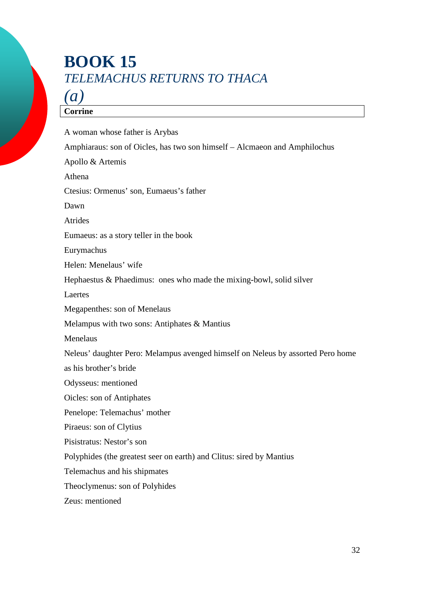## **BOOK 15**  *TELEMACHUS RETURNS TO THACA*

## *(a)*

#### **Corrine**

A woman whose father is Arybas Amphiaraus: son of Oicles, has two son himself – Alcmaeon and Amphilochus Apollo & Artemis Athena Ctesius: Ormenus' son, Eumaeus's father Dawn Atrides Eumaeus: as a story teller in the book Eurymachus Helen: Menelaus' wife Hephaestus & Phaedimus: ones who made the mixing-bowl, solid silver Laertes Megapenthes: son of Menelaus Melampus with two sons: Antiphates & Mantius Menelaus Neleus' daughter Pero: Melampus avenged himself on Neleus by assorted Pero home as his brother's bride Odysseus: mentioned Oicles: son of Antiphates Penelope: Telemachus' mother Piraeus: son of Clytius Pisistratus: Nestor's son Polyphides (the greatest seer on earth) and Clitus: sired by Mantius Telemachus and his shipmates Theoclymenus: son of Polyhides Zeus: mentioned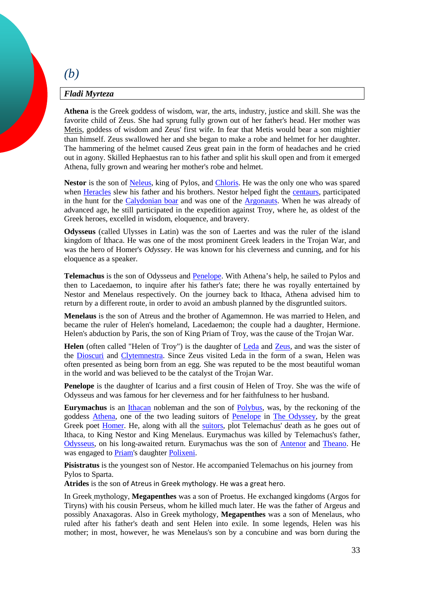### *Fladi Myrteza*

*(b)* 

**Athena** is the Greek goddess of wisdom, war, the arts, industry, justice and skill. She was the favorite child of Zeus. She had sprung fully grown out of her father's head. Her mother was Metis, goddess of wisdom and Zeus' first wife. In fear that Metis would bear a son mightier than himself. Zeus swallowed her and she began to make a robe and helmet for her daughter. The hammering of the helmet caused Zeus great pain in the form of headaches and he cried out in agony. Skilled Hephaestus ran to his father and split his skull open and from it emerged Athena, fully grown and wearing her mother's robe and helmet.

Nestor is the son of Neleus, king of Pylos, and Chloris. He was the only one who was spared when Heracles slew his father and his brothers. Nestor helped fight the centaurs, participated in the hunt for the Calydonian boar and was one of the Argonauts. When he was already of advanced age, he still participated in the expedition against Troy, where he, as oldest of the Greek heroes, excelled in wisdom, eloquence, and bravery.

**Odysseus** (called Ulysses in Latin) was the son of Laertes and was the ruler of the island kingdom of Ithaca. He was one of the most prominent Greek leaders in the Trojan War, and was the hero of Homer's *Odyssey*. He was known for his cleverness and cunning, and for his eloquence as a speaker.

Telemachus is the son of Odysseus and **Penelope**. With Athena's help, he sailed to Pylos and then to Lacedaemon, to inquire after his father's fate; there he was royally entertained by Nestor and Menelaus respectively. On the journey back to Ithaca, Athena advised him to return by a different route, in order to avoid an ambush planned by the disgruntled suitors.

**Menelaus** is the son of Atreus and the brother of Agamemnon. He was married to Helen, and became the ruler of Helen's homeland, Lacedaemon; the couple had a daughter, Hermione. Helen's abduction by Paris, the son of King Priam of Troy, was the cause of the Trojan War.

Helen (often called "Helen of Troy") is the daughter of Leda and Zeus, and was the sister of the Dioscuri and Clytemnestra. Since Zeus visited Leda in the form of a swan, Helen was often presented as being born from an egg. She was reputed to be the most beautiful woman in the world and was believed to be the catalyst of the Trojan War.

**Penelope** is the daughter of Icarius and a first cousin of Helen of Troy. She was the wife of Odysseus and was famous for her cleverness and for her faithfulness to her husband.

**Eurymachus** is an Ithacan nobleman and the son of Polybus, was, by the reckoning of the goddess Athena, one of the two leading suitors of Penelope in The Odyssey, by the great Greek poet Homer. He, along with all the suitors, plot Telemachus' death as he goes out of Ithaca, to King Nestor and King Menelaus. Eurymachus was killed by Telemachus's father, Odysseus, on his long-awaited return. Eurymachus was the son of Antenor and Theano. He was engaged to Priam's daughter Polixeni.

**Pisistratus** is the youngest son of Nestor. He accompanied Telemachus on his journey from Pylos to Sparta.

**Atrides** is the son of Atreus in Greek mythology. He was a great hero.

In Greek mythology, **Megapenthes** was a son of Proetus. He exchanged kingdoms (Argos for Tiryns) with his cousin Perseus, whom he killed much later. He was the father of Argeus and possibly Anaxagoras. Also in Greek mythology, **Megapenthes** was a son of Menelaus, who ruled after his father's death and sent Helen into exile. In some legends, Helen was his mother; in most, however, he was Menelaus's son by a concubine and was born during the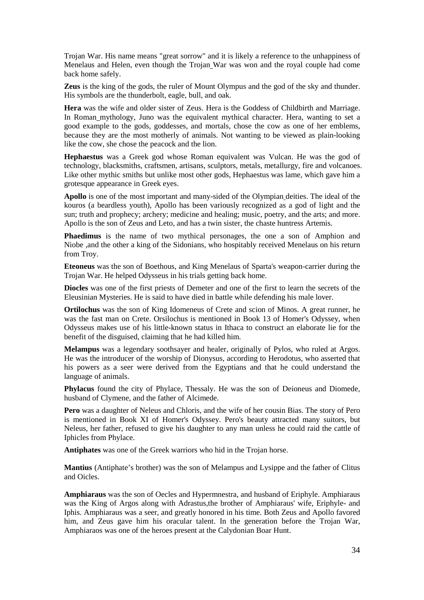Trojan War. His name means "great sorrow" and it is likely a reference to the unhappiness of Menelaus and Helen, even though the Trojan War was won and the royal couple had come back home safely.

**Zeus** is the king of the gods, the ruler of Mount Olympus and the god of the sky and thunder. His symbols are the thunderbolt, eagle, bull, and oak.

**Hera** was the wife and older sister of Zeus. Hera is the Goddess of Childbirth and Marriage. In Roman mythology, Juno was the equivalent mythical character. Hera, wanting to set a good example to the gods, goddesses, and mortals, chose the cow as one of her emblems, because they are the most motherly of animals. Not wanting to be viewed as plain-looking like the cow, she chose the peacock and the lion.

**Hephaestus** was a Greek god whose Roman equivalent was Vulcan. He was the god of technology, blacksmiths, craftsmen, artisans, sculptors, metals, metallurgy, fire and volcanoes. Like other mythic smiths but unlike most other gods, Hephaestus was lame, which gave him a grotesque appearance in Greek eyes.

**Apollo** is one of the most important and many-sided of the Olympian deities. The ideal of the kouros (a beardless youth), Apollo has been variously recognized as a god of light and the sun; truth and prophecy; archery; medicine and healing; music, poetry, and the arts; and more. Apollo is the son of Zeus and Leto, and has a twin sister, the chaste huntress Artemis.

**Phaedimus** is the name of two mythical personages, the one a son of Amphion and Niobe ,and the other a king of the Sidonians, who hospitably received Menelaus on his return from Troy.

**Eteoneus** was the son of Boethous, and King Menelaus of Sparta's weapon-carrier during the Trojan War. He helped Odysseus in his trials getting back home.

**Diocles** was one of the first priests of Demeter and one of the first to learn the secrets of the Eleusinian Mysteries. He is said to have died in battle while defending his male lover.

**Ortilochus** was the son of King Idomeneus of Crete and scion of Minos. A great runner, he was the fast man on Crete. Orsilochus is mentioned in Book 13 of Homer's Odyssey, when Odysseus makes use of his little-known status in Ithaca to construct an elaborate lie for the benefit of the disguised, claiming that he had killed him.

**Melampus** was a legendary soothsayer and healer, originally of Pylos, who ruled at Argos. He was the introducer of the worship of Dionysus, according to Herodotus, who asserted that his powers as a seer were derived from the Egyptians and that he could understand the language of animals.

**Phylacus** found the city of Phylace, Thessaly. He was the son of Deioneus and Diomede, husband of Clymene, and the father of Alcimede.

**Pero** was a daughter of Neleus and Chloris, and the wife of her cousin Bias. The story of Pero is mentioned in Book XI of Homer's Odyssey. Pero's beauty attracted many suitors, but Neleus, her father, refused to give his daughter to any man unless he could raid the cattle of Iphicles from Phylace.

**Antiphates** was one of the Greek warriors who hid in the Trojan horse.

**Mantius** (Antiphate's brother) was the son of Melampus and Lysippe and the father of Clitus and Oicles.

**Amphiaraus** was the son of Oecles and Hypermnestra, and husband of Eriphyle. Amphiaraus was the King of Argos along with Adrastus,the brother of Amphiaraus' wife, Eriphyle- and Iphis. Amphiaraus was a seer, and greatly honored in his time. Both Zeus and Apollo favored him, and Zeus gave him his oracular talent. In the generation before the Trojan War, Amphiaraos was one of the heroes present at the Calydonian Boar Hunt.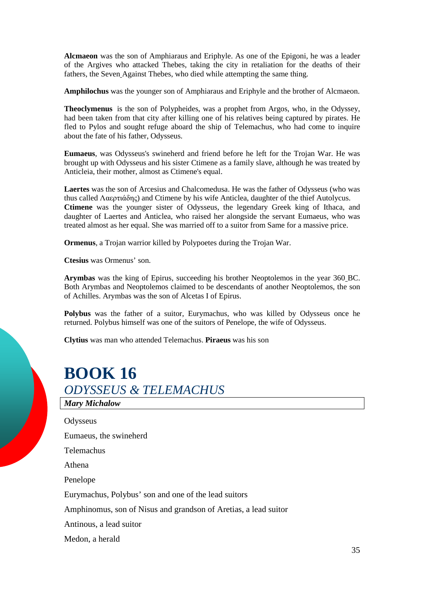**Alcmaeon** was the son of Amphiaraus and Eriphyle. As one of the Epigoni, he was a leader of the Argives who attacked Thebes, taking the city in retaliation for the deaths of their fathers, the Seven Against Thebes, who died while attempting the same thing.

**Amphilochus** was the younger son of Amphiaraus and Eriphyle and the brother of Alcmaeon.

**Theoclymenus** is the son of Polypheides, was a prophet from Argos, who, in the Odyssey, had been taken from that city after killing one of his relatives being captured by pirates. He fled to Pylos and sought refuge aboard the ship of Telemachus, who had come to inquire about the fate of his father, Odysseus.

**Eumaeus**, was Odysseus's swineherd and friend before he left for the Trojan War. He was brought up with Odysseus and his sister Ctimene as a family slave, although he was treated by Anticleia, their mother, almost as Ctimene's equal.

**Laertes** was the son of Arcesius and Chalcomedusa. He was the father of Odysseus (who was thus called Λαερτιάδης) and Ctimene by his wife Anticlea, daughter of the thief Autolycus. **Ctimene** was the younger sister of Odysseus, the legendary Greek king of Ithaca, and daughter of Laertes and Anticlea, who raised her alongside the servant Eumaeus, who was treated almost as her equal. She was married off to a suitor from Same for a massive price.

**Ormenus**, a Trojan warrior killed by Polypoetes during the Trojan War.

**Ctesius** was Ormenus' son.

**Arymbas** was the king of Epirus, succeeding his brother Neoptolemos in the year 360 BC. Both Arymbas and Neoptolemos claimed to be descendants of another Neoptolemos, the son of Achilles. Arymbas was the son of Alcetas I of Epirus.

**Polybus** was the father of a suitor, Eurymachus, who was killed by Odysseus once he returned. Polybus himself was one of the suitors of Penelope, the wife of Odysseus.

**Clytius** was man who attended Telemachus. **Piraeus** was his son

## **BOOK 16**  *ODYSSEUS & TELEMACHUS*

*Mary Michalow* **Odysseus** Eumaeus, the swineherd Telemachus Athena Penelope Eurymachus, Polybus' son and one of the lead suitors Amphinomus, son of Nisus and grandson of Aretias, a lead suitor Antinous, a lead suitor Medon, a herald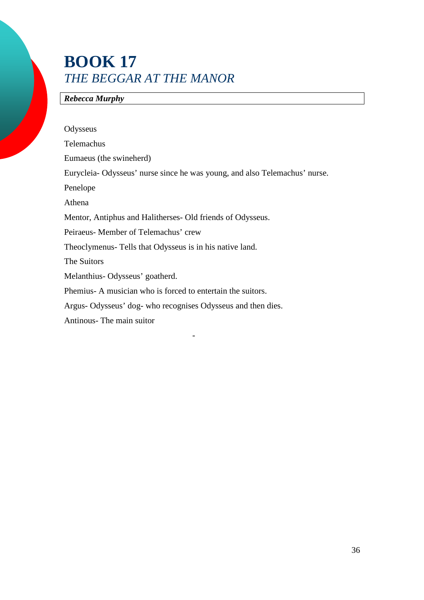## **BOOK 17**  *THE BEGGAR AT THE MANOR*

-

### *Rebecca Murphy*

| Odysseus                                                                  |
|---------------------------------------------------------------------------|
| Telemachus                                                                |
| Eumaeus (the swineherd)                                                   |
| Eurycleia-Odysseus' nurse since he was young, and also Telemachus' nurse. |
| Penelope                                                                  |
| Athena                                                                    |
| Mentor, Antiphus and Halitherses- Old friends of Odysseus.                |
| Peiraeus-Member of Telemachus' crew                                       |
| Theoclymenus- Tells that Odysseus is in his native land.                  |
| The Suitors                                                               |
| Melanthius-Odysseus' goatherd.                                            |
| Phemius A musician who is forced to entertain the suitors.                |
| Argus-Odysseus' dog- who recognises Odysseus and then dies.               |
| Antinous- The main suitor                                                 |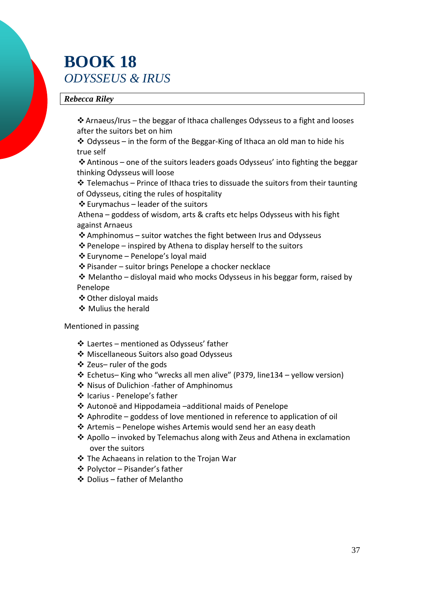## **BOOK 18**  *ODYSSEUS & IRUS*

#### *Rebecca Riley*

 Arnaeus/Irus – the beggar of Ithaca challenges Odysseus to a fight and looses after the suitors bet on him

 $\triangleleft$  Odysseus – in the form of the Beggar-King of Ithaca an old man to hide his true self

 Antinous – one of the suitors leaders goads Odysseus' into fighting the beggar thinking Odysseus will loose

 $\triangle$  Telemachus – Prince of Ithaca tries to dissuade the suitors from their taunting of Odysseus, citing the rules of hospitality

 $\triangle$  Eurymachus – leader of the suitors

 Athena – goddess of wisdom, arts & crafts etc helps Odysseus with his fight against Arnaeus

- $\triangle$  Amphinomus suitor watches the fight between Irus and Odysseus
- $\triangle$  Penelope inspired by Athena to display herself to the suitors
- Eurynome Penelope's loyal maid

Pisander – suitor brings Penelope a chocker necklace

 $\cdot \cdot$  Melantho – disloyal maid who mocks Odysseus in his beggar form, raised by Penelope

- Other disloyal maids
- ❖ Mulius the herald

#### Mentioned in passing

- Laertes mentioned as Odysseus' father
- Miscellaneous Suitors also goad Odysseus
- Zeus– ruler of the gods
- Echetus– King who "wrecks all men alive" (P379, line134 yellow version)
- Nisus of Dulichion -father of Amphinomus
- Icarius Penelope's father
- Autonoë and Hippodameia –additional maids of Penelope
- $\triangle$  Aphrodite goddess of love mentioned in reference to application of oil
- $\triangle$  Artemis Penelope wishes Artemis would send her an easy death
- $\triangle$  Apollo invoked by Telemachus along with Zeus and Athena in exclamation over the suitors
- The Achaeans in relation to the Trojan War
- Polyctor Pisander's father
- Dolius father of Melantho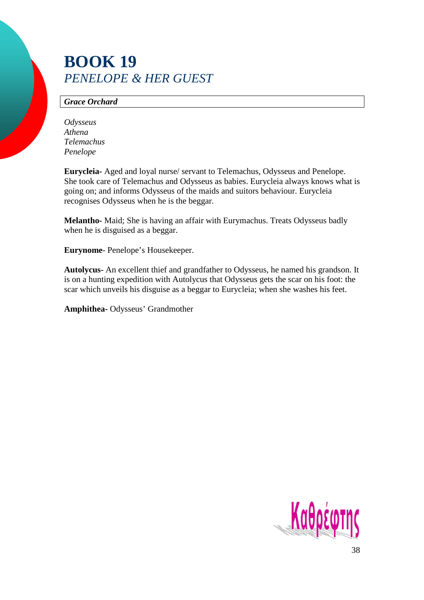## **BOOK 19**  *PENELOPE & HER GUEST*

#### *Grace Orchard*

*Odysseus Athena Telemachus Penelope* 

**Eurycleia-** Aged and loyal nurse/ servant to Telemachus, Odysseus and Penelope. She took care of Telemachus and Odysseus as babies. Eurycleia always knows what is going on; and informs Odysseus of the maids and suitors behaviour. Eurycleia recognises Odysseus when he is the beggar.

**Melantho-** Maid; She is having an affair with Eurymachus. Treats Odysseus badly when he is disguised as a beggar.

**Eurynome**- Penelope's Housekeeper.

**Autolycus-** An excellent thief and grandfather to Odysseus, he named his grandson. It is on a hunting expedition with Autolycus that Odysseus gets the scar on his foot: the scar which unveils his disguise as a beggar to Eurycleia; when she washes his feet.

**Amphithea-** Odysseus' Grandmother

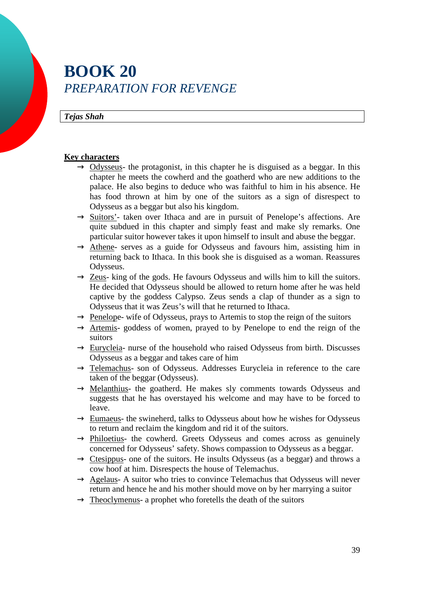## **BOOK 20**  *PREPARATION FOR REVENGE*

#### *Tejas Shah*

#### **Key characters**

- $\rightarrow$  Odysseus- the protagonist, in this chapter he is disguised as a beggar. In this chapter he meets the cowherd and the goatherd who are new additions to the palace. He also begins to deduce who was faithful to him in his absence. He has food thrown at him by one of the suitors as a sign of disrespect to Odysseus as a beggar but also his kingdom.
- $\rightarrow$  Suitors'- taken over Ithaca and are in pursuit of Penelope's affections. Are quite subdued in this chapter and simply feast and make sly remarks. One particular suitor however takes it upon himself to insult and abuse the beggar.
- $\rightarrow$  Athene- serves as a guide for Odysseus and favours him, assisting him in returning back to Ithaca. In this book she is disguised as a woman. Reassures Odysseus.
- $\rightarrow$  Zeus- king of the gods. He favours Odysseus and wills him to kill the suitors. He decided that Odysseus should be allowed to return home after he was held captive by the goddess Calypso. Zeus sends a clap of thunder as a sign to Odysseus that it was Zeus's will that he returned to Ithaca.
- $\rightarrow$  Penelope- wife of Odysseus, prays to Artemis to stop the reign of the suitors
- $\rightarrow$  Artemis- goddess of women, prayed to by Penelope to end the reign of the suitors
- $\rightarrow$  Eurycleia- nurse of the household who raised Odysseus from birth. Discusses Odysseus as a beggar and takes care of him
- $\rightarrow$  Telemachus- son of Odysseus. Addresses Eurycleia in reference to the care taken of the beggar (Odysseus).
- $\rightarrow$  Melanthius- the goatherd. He makes sly comments towards Odysseus and suggests that he has overstayed his welcome and may have to be forced to leave.
- $\rightarrow$  Eumaeus- the swineherd, talks to Odysseus about how he wishes for Odysseus to return and reclaim the kingdom and rid it of the suitors.
- $\rightarrow$  Philoetius- the cowherd. Greets Odysseus and comes across as genuinely concerned for Odysseus' safety. Shows compassion to Odysseus as a beggar.
- $\rightarrow$  Ctesippus- one of the suitors. He insults Odysseus (as a beggar) and throws a cow hoof at him. Disrespects the house of Telemachus.
- $\rightarrow$  Agelaus- A suitor who tries to convince Telemachus that Odysseus will never return and hence he and his mother should move on by her marrying a suitor
- $\rightarrow$  Theoclymenus- a prophet who foretells the death of the suitors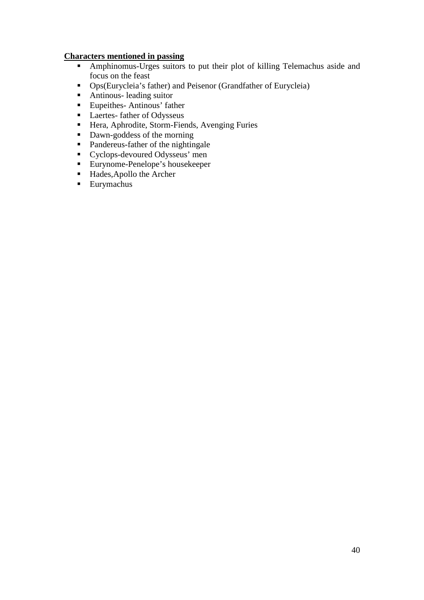#### **Characters mentioned in passing**

- **-** Amphinomus-Urges suitors to put their plot of killing Telemachus aside and focus on the feast
- Ops(Eurycleia's father) and Peisenor (Grandfather of Eurycleia)
- **Antinous- leading suitor**
- **Eupeithes-Antinous' father**
- -Laertes- father of Odysseus
- -Hera, Aphrodite, Storm-Fiends, Avenging Furies
- Dawn-goddess of the morning
- -Pandereus-father of the nightingale
- -Cyclops-devoured Odysseus' men
- -Eurynome-Penelope's housekeeper
- -Hades,Apollo the Archer
- -Eurymachus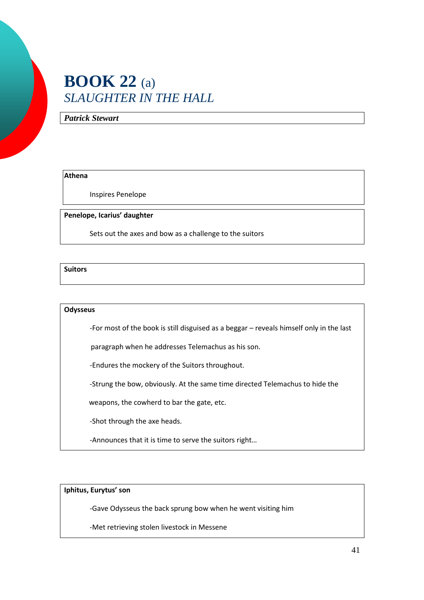## **BOOK 22** (a) *SLAUGHTER IN THE HALL*

*Patrick Stewart*

#### **Athena**

Inspires Penelope

**Penelope, Icarius' daughter** 

Sets out the axes and bow as a challenge to the suitors

**Suitors** 

#### **Odysseus**

-For most of the book is still disguised as a beggar – reveals himself only in the last

paragraph when he addresses Telemachus as his son.

-Endures the mockery of the Suitors throughout.

-Strung the bow, obviously. At the same time directed Telemachus to hide the

weapons, the cowherd to bar the gate, etc.

-Shot through the axe heads.

-Announces that it is time to serve the suitors right…

**Iphitus, Eurytus' son** 

-Gave Odysseus the back sprung bow when he went visiting him

-Met retrieving stolen livestock in Messene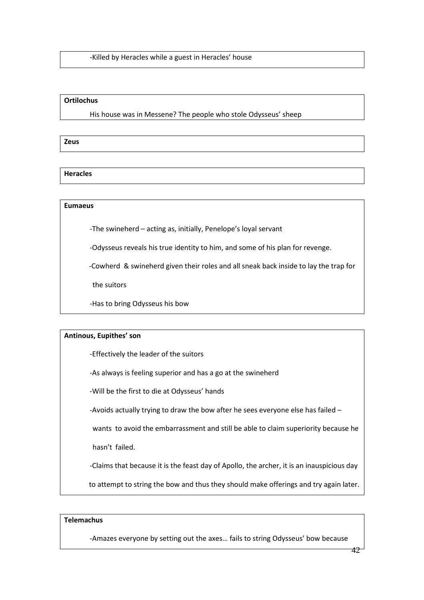-Killed by Heracles while a guest in Heracles' house

#### **Ortilochus**

His house was in Messene? The people who stole Odysseus' sheep

**Zeus** 

**Heracles** 

#### **Eumaeus**

-The swineherd – acting as, initially, Penelope's loyal servant

-Odysseus reveals his true identity to him, and some of his plan for revenge.

-Cowherd & swineherd given their roles and all sneak back inside to lay the trap for

the suitors

-Has to bring Odysseus his bow

#### **Antinous, Eupithes' son**

-Effectively the leader of the suitors

-As always is feeling superior and has a go at the swineherd

-Will be the first to die at Odysseus' hands

-Avoids actually trying to draw the bow after he sees everyone else has failed –

wants to avoid the embarrassment and still be able to claim superiority because he

hasn't failed.

-Claims that because it is the feast day of Apollo, the archer, it is an inauspicious day

to attempt to string the bow and thus they should make offerings and try again later.

#### **Telemachus**

-Amazes everyone by setting out the axes… fails to string Odysseus' bow because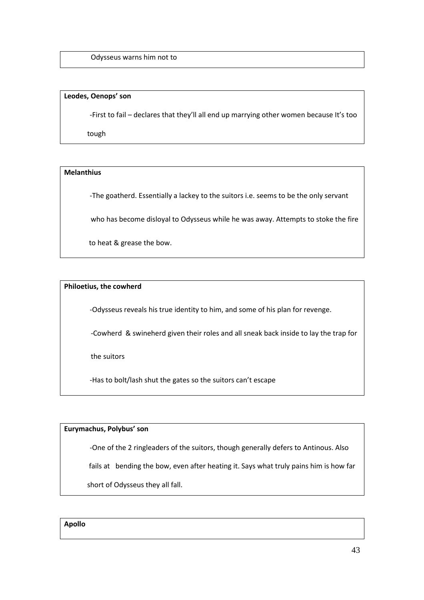Odysseus warns him not to

#### **Leodes, Oenops' son**

-First to fail – declares that they'll all end up marrying other women because It's too

tough

#### **Melanthius**

-The goatherd. Essentially a lackey to the suitors i.e. seems to be the only servant

who has become disloyal to Odysseus while he was away. Attempts to stoke the fire

to heat & grease the bow.

#### **Philoetius, the cowherd**

-Odysseus reveals his true identity to him, and some of his plan for revenge.

-Cowherd & swineherd given their roles and all sneak back inside to lay the trap for

the suitors

-Has to bolt/lash shut the gates so the suitors can't escape

#### **Eurymachus, Polybus' son**

-One of the 2 ringleaders of the suitors, though generally defers to Antinous. Also

fails at bending the bow, even after heating it. Says what truly pains him is how far

short of Odysseus they all fall.

**Apollo**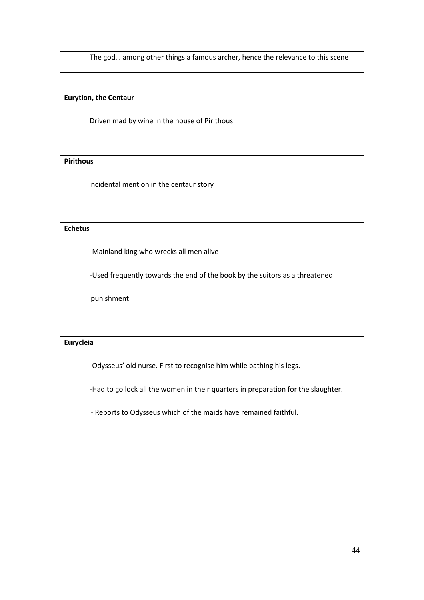The god… among other things a famous archer, hence the relevance to this scene

#### **Eurytion, the Centaur**

Driven mad by wine in the house of Pirithous

#### **Pirithous**

Incidental mention in the centaur story

#### **Echetus**

-Mainland king who wrecks all men alive

-Used frequently towards the end of the book by the suitors as a threatened

punishment

#### **Eurycleia**

-Odysseus' old nurse. First to recognise him while bathing his legs.

-Had to go lock all the women in their quarters in preparation for the slaughter.

- Reports to Odysseus which of the maids have remained faithful.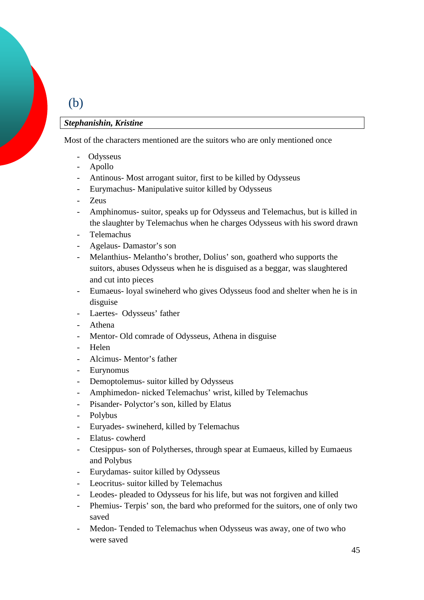### (b)

#### *Stephanishin, Kristine*

Most of the characters mentioned are the suitors who are only mentioned once

- **Odysseus**
- Apollo
- Antinous- Most arrogant suitor, first to be killed by Odysseus
- Eurymachus- Manipulative suitor killed by Odysseus
- Zeus
- Amphinomus- suitor, speaks up for Odysseus and Telemachus, but is killed in the slaughter by Telemachus when he charges Odysseus with his sword drawn
- Telemachus
- Agelaus- Damastor's son
- Melanthius- Melantho's brother, Dolius' son, goatherd who supports the suitors, abuses Odysseus when he is disguised as a beggar, was slaughtered and cut into pieces
- Eumaeus- loyal swineherd who gives Odysseus food and shelter when he is in disguise
- Laertes- Odysseus' father
- Athena
- Mentor- Old comrade of Odysseus, Athena in disguise
- Helen
- Alcimus- Mentor's father
- Eurynomus
- Demoptolemus- suitor killed by Odysseus
- Amphimedon- nicked Telemachus' wrist, killed by Telemachus
- Pisander- Polyctor's son, killed by Elatus
- Polybus
- Euryades- swineherd, killed by Telemachus
- Elatus-cowherd
- Ctesippus- son of Polytherses, through spear at Eumaeus, killed by Eumaeus and Polybus
- Eurydamas- suitor killed by Odysseus
- Leocritus- suitor killed by Telemachus
- Leodes- pleaded to Odysseus for his life, but was not forgiven and killed
- Phemius- Terpis' son, the bard who preformed for the suitors, one of only two saved
- Medon- Tended to Telemachus when Odysseus was away, one of two who were saved